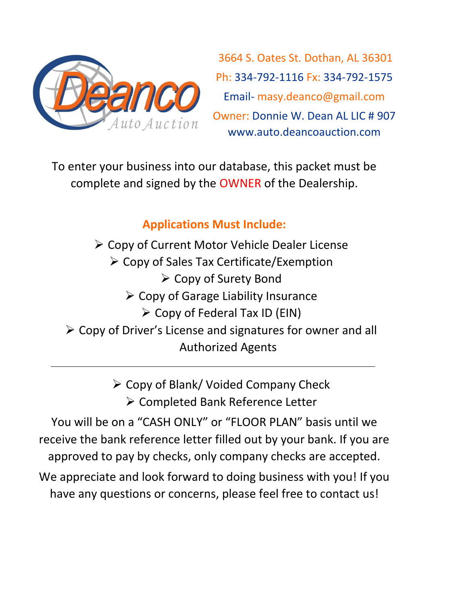

3664 S. Oates St. Dothan, AL 36301 Ph: 334-792-1116 Fx: 334-792-1575 Email- masy.deanco@gmail.com Owner: Donnie W. Dean AL LIC # 907 www.auto.deancoauction.com

To enter your business into our database, this packet must be complete and signed by the OWNER of the Dealership.

## **Applications Must Include:**

➢ Copy of Current Motor Vehicle Dealer License ➢ Copy of Sales Tax Certificate/Exemption ➢ Copy of Surety Bond  $\triangleright$  Copy of Garage Liability Insurance  $\triangleright$  Copy of Federal Tax ID (EIN) ➢ Copy of Driver's License and signatures for owner and all Authorized Agents

> ➢ Copy of Blank/ Voided Company Check ➢ Completed Bank Reference Letter

You will be on a "CASH ONLY" or "FLOOR PLAN" basis until we receive the bank reference letter filled out by your bank. If you are approved to pay by checks, only company checks are accepted.

We appreciate and look forward to doing business with you! If you have any questions or concerns, please feel free to contact us!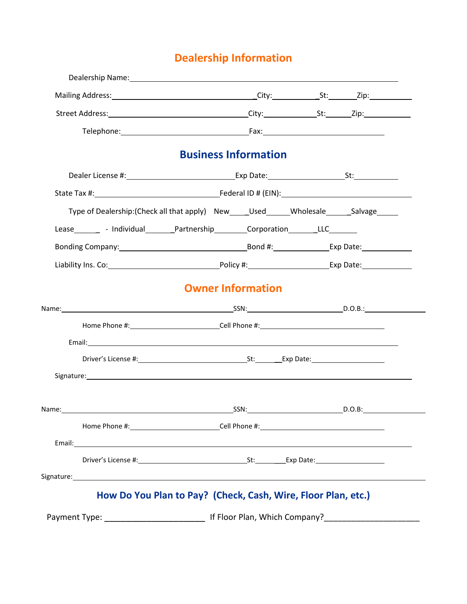## **Dealership Information**

|                                                                                                                                                                                                                                      | <b>Business Information</b>                                   |  |  |
|--------------------------------------------------------------------------------------------------------------------------------------------------------------------------------------------------------------------------------------|---------------------------------------------------------------|--|--|
|                                                                                                                                                                                                                                      |                                                               |  |  |
|                                                                                                                                                                                                                                      |                                                               |  |  |
| Type of Dealership:(Check all that apply) New _____Used ______Wholesale _______Salvage ______                                                                                                                                        |                                                               |  |  |
| Lease Lease Lease Lease Lease Lease Lease Lease Lease Lease Lease Lease Lease Lease Lease Lease Lease Lease Lease Lease Lease Lease Lease Lease Lease Lease Lease Lease Lease Lease Lease Lease Lease Lease Lease Lease Lease        |                                                               |  |  |
| Bonding Company: 1990 Company: 1990 Company: 1990 Company: 1990 Company: 1990 Company: 1990 Company: 1990 Compa                                                                                                                      |                                                               |  |  |
|                                                                                                                                                                                                                                      |                                                               |  |  |
|                                                                                                                                                                                                                                      | <b>Owner Information</b>                                      |  |  |
|                                                                                                                                                                                                                                      |                                                               |  |  |
|                                                                                                                                                                                                                                      |                                                               |  |  |
|                                                                                                                                                                                                                                      |                                                               |  |  |
|                                                                                                                                                                                                                                      |                                                               |  |  |
| Signature: <u>contract and contract and contract and contract and contract and contract and contract and contract and contract and contract and contract and contract and contract and contract and contract and contract and co</u> |                                                               |  |  |
|                                                                                                                                                                                                                                      |                                                               |  |  |
| Name: D.O.B: Example 2014 and SSN: SSN: D.O.B: D.O.B: D.O.B: D.O.B: D.O.B: D.O.B: D.O.B: D.O.B: D.O.B: D.O.B: D.O.B: D.O.B: D.O.B: D.O.B: D.O.B: D.O.B: D.O.B: D.O.B: D.O.B: D.O.B: D.O.B: D.O.B: D.O.B: D.O.B: D.O.B: D.O.B:        |                                                               |  |  |
|                                                                                                                                                                                                                                      |                                                               |  |  |
|                                                                                                                                                                                                                                      |                                                               |  |  |
|                                                                                                                                                                                                                                      |                                                               |  |  |
|                                                                                                                                                                                                                                      |                                                               |  |  |
|                                                                                                                                                                                                                                      | How Do You Plan to Pay? (Check, Cash, Wire, Floor Plan, etc.) |  |  |
|                                                                                                                                                                                                                                      |                                                               |  |  |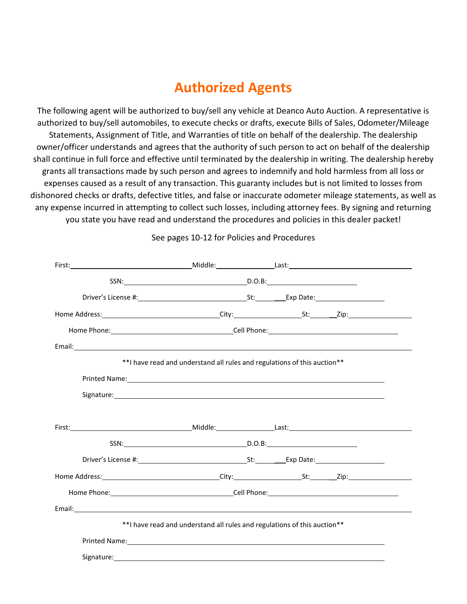## **Authorized Agents**

The following agent will be authorized to buy/sell any vehicle at Deanco Auto Auction. A representative is authorized to buy/sell automobiles, to execute checks or drafts, execute Bills of Sales, Odometer/Mileage Statements, Assignment of Title, and Warranties of title on behalf of the dealership. The dealership owner/officer understands and agrees that the authority of such person to act on behalf of the dealership shall continue in full force and effective until terminated by the dealership in writing. The dealership hereby grants all transactions made by such person and agrees to indemnify and hold harmless from all loss or expenses caused as a result of any transaction. This guaranty includes but is not limited to losses from dishonored checks or drafts, defective titles, and false or inaccurate odometer mileage statements, as well as any expense incurred in attempting to collect such losses, including attorney fees. By signing and returning you state you have read and understand the procedures and policies in this dealer packet!

| SSN: D.O.B:                                                               |                                                                                                                                                                                                                                |
|---------------------------------------------------------------------------|--------------------------------------------------------------------------------------------------------------------------------------------------------------------------------------------------------------------------------|
|                                                                           |                                                                                                                                                                                                                                |
|                                                                           |                                                                                                                                                                                                                                |
|                                                                           |                                                                                                                                                                                                                                |
|                                                                           |                                                                                                                                                                                                                                |
| ** I have read and understand all rules and regulations of this auction** |                                                                                                                                                                                                                                |
|                                                                           | Printed Name: Name and Separate and Separate and Separate and Separate and Separate and Separate and Separate and Separate and Separate and Separate and Separate and Separate and Separate and Separate and Separate and Sepa |
|                                                                           |                                                                                                                                                                                                                                |
|                                                                           |                                                                                                                                                                                                                                |
|                                                                           |                                                                                                                                                                                                                                |
|                                                                           |                                                                                                                                                                                                                                |
|                                                                           |                                                                                                                                                                                                                                |
|                                                                           |                                                                                                                                                                                                                                |
|                                                                           |                                                                                                                                                                                                                                |
|                                                                           |                                                                                                                                                                                                                                |
| ** I have read and understand all rules and regulations of this auction** |                                                                                                                                                                                                                                |
|                                                                           | Printed Name: 1999 Contract Communication of the Communication of the Communication of the Communication of the Communication of the Communication of the Communication of the Communication of the Communication of the Commu |
|                                                                           |                                                                                                                                                                                                                                |
|                                                                           |                                                                                                                                                                                                                                |

See pages 10-12 for Policies and Procedures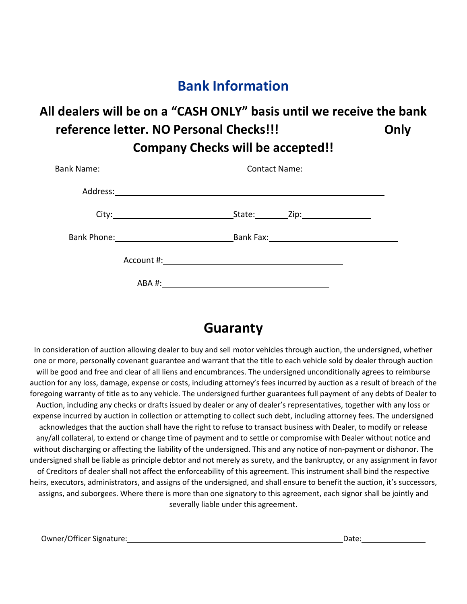## **Bank Information**

## **All dealers will be on a "CASH ONLY" basis until we receive the bank reference letter. NO Personal Checks!!! Only Company Checks will be accepted!!**

| Bank Name:______ <b>_____________________________</b> _____ |                                                                                                                 |
|-------------------------------------------------------------|-----------------------------------------------------------------------------------------------------------------|
|                                                             |                                                                                                                 |
|                                                             |                                                                                                                 |
|                                                             | Bank Phone: Note and Solid Bank Fax: Note and Solid Bank Fax: Note and Solid Bank Fax: Note and Solid Bank Fax: |
|                                                             |                                                                                                                 |
|                                                             |                                                                                                                 |

## **Guaranty**

In consideration of auction allowing dealer to buy and sell motor vehicles through auction, the undersigned, whether one or more, personally covenant guarantee and warrant that the title to each vehicle sold by dealer through auction will be good and free and clear of all liens and encumbrances. The undersigned unconditionally agrees to reimburse auction for any loss, damage, expense or costs, including attorney's fees incurred by auction as a result of breach of the foregoing warranty of title as to any vehicle. The undersigned further guarantees full payment of any debts of Dealer to Auction, including any checks or drafts issued by dealer or any of dealer's representatives, together with any loss or expense incurred by auction in collection or attempting to collect such debt, including attorney fees. The undersigned acknowledges that the auction shall have the right to refuse to transact business with Dealer, to modify or release any/all collateral, to extend or change time of payment and to settle or compromise with Dealer without notice and without discharging or affecting the liability of the undersigned. This and any notice of non-payment or dishonor. The undersigned shall be liable as principle debtor and not merely as surety, and the bankruptcy, or any assignment in favor of Creditors of dealer shall not affect the enforceability of this agreement. This instrument shall bind the respective heirs, executors, administrators, and assigns of the undersigned, and shall ensure to benefit the auction, it's successors, assigns, and suborgees. Where there is more than one signatory to this agreement, each signor shall be jointly and severally liable under this agreement.

Owner/Officer Signature:  $\Box$  Date: Date: Date: Date: Date: Date: Date: Date: Date: Date: Date: Date: Date: Date:  $\Box$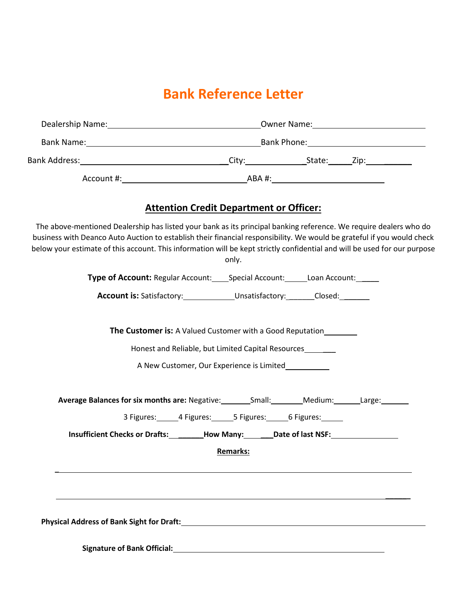## **Bank Reference Letter**

| The above-mentioned Dealership has listed your bank as its principal banking reference. We require dealers who do<br>business with Deanco Auto Auction to establish their financial responsibility. We would be grateful if you would check<br>below your estimate of this account. This information will be kept strictly confidential and will be used for our purpose | <b>Attention Credit Department or Officer:</b><br>only.                       |  |  |
|--------------------------------------------------------------------------------------------------------------------------------------------------------------------------------------------------------------------------------------------------------------------------------------------------------------------------------------------------------------------------|-------------------------------------------------------------------------------|--|--|
|                                                                                                                                                                                                                                                                                                                                                                          | Type of Account: Regular Account: Special Account: Loan Account: Lettermunity |  |  |
|                                                                                                                                                                                                                                                                                                                                                                          | <b>Account is:</b> Satisfactory: Unsatisfactory: Closed: Closed:              |  |  |

**The Customer is:** A Valued Customer with a Good Reputation

Honest and Reliable, but Limited Capital Resources

A New Customer, Our Experience is Limited

| <b>Average Balances for six months are: Negative:</b> | Small: | Medium: | Large: |  |
|-------------------------------------------------------|--------|---------|--------|--|
|-------------------------------------------------------|--------|---------|--------|--|

3 Figures: 4 Figures: 5 Figures: 6 Figures:

**\_\_\_\_\_\_**

**Insufficient Checks or Drafts: \_\_\_\_\_\_How Many: \_\_\_Date of last NSF:**

**Remarks:**

**Physical Address of Bank Sight for Draft:**

**\_**

**Signature of Bank Official:**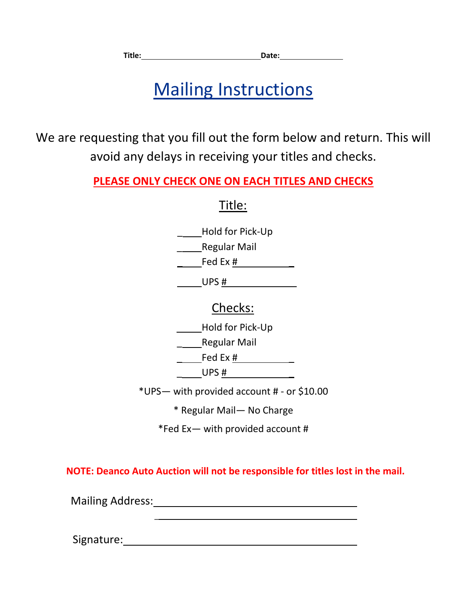# Mailing Instructions

We are requesting that you fill out the form below and return. This will avoid any delays in receiving your titles and checks.

**PLEASE ONLY CHECK ONE ON EACH TITLES AND CHECKS**

Title:

\_ Hold for Pick-Up

Regular Mail

 $\qquad \qquad \textsf{Fed Ex}~\#$ 

 $UPS$  #

## Checks:

\_ Hold for Pick-Up

Regular Mail

 $\frac{\text{red Ex }\#$ 

 $\overline{\phantom{a}}$  UPS #  $\overline{\phantom{a}}$ 

\*UPS— with provided account # - or \$10.00

\* Regular Mail— No Charge

\*Fed Ex— with provided account #

**NOTE: Deanco Auto Auction will not be responsible for titles lost in the mail.**

Mailing Address: Mailing Address: Mailing Address: Mail 1997

 $\mathbb{Z}^2$ 

Signature: the contract of the contract of the contract of the contract of the contract of the contract of the contract of the contract of the contract of the contract of the contract of the contract of the contract of the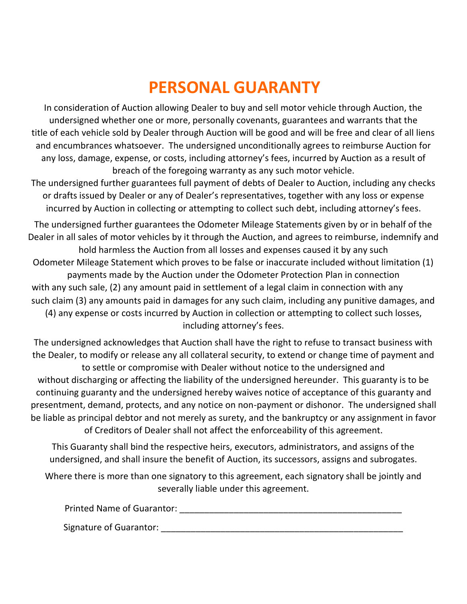# **PERSONAL GUARANTY**

In consideration of Auction allowing Dealer to buy and sell motor vehicle through Auction, the undersigned whether one or more, personally covenants, guarantees and warrants that the title of each vehicle sold by Dealer through Auction will be good and will be free and clear of all liens and encumbrances whatsoever. The undersigned unconditionally agrees to reimburse Auction for any loss, damage, expense, or costs, including attorney's fees, incurred by Auction as a result of breach of the foregoing warranty as any such motor vehicle.

The undersigned further guarantees full payment of debts of Dealer to Auction, including any checks or drafts issued by Dealer or any of Dealer's representatives, together with any loss or expense incurred by Auction in collecting or attempting to collect such debt, including attorney's fees.

The undersigned further guarantees the Odometer Mileage Statements given by or in behalf of the Dealer in all sales of motor vehicles by it through the Auction, and agrees to reimburse, indemnify and hold harmless the Auction from all losses and expenses caused it by any such Odometer Mileage Statement which proves to be false or inaccurate included without limitation (1) payments made by the Auction under the Odometer Protection Plan in connection with any such sale, (2) any amount paid in settlement of a legal claim in connection with any such claim (3) any amounts paid in damages for any such claim, including any punitive damages, and (4) any expense or costs incurred by Auction in collection or attempting to collect such losses, including attorney's fees.

The undersigned acknowledges that Auction shall have the right to refuse to transact business with the Dealer, to modify or release any all collateral security, to extend or change time of payment and to settle or compromise with Dealer without notice to the undersigned and without discharging or affecting the liability of the undersigned hereunder. This guaranty is to be continuing guaranty and the undersigned hereby waives notice of acceptance of this guaranty and presentment, demand, protects, and any notice on non-payment or dishonor. The undersigned shall be liable as principal debtor and not merely as surety, and the bankruptcy or any assignment in favor of Creditors of Dealer shall not affect the enforceability of this agreement.

This Guaranty shall bind the respective heirs, executors, administrators, and assigns of the undersigned, and shall insure the benefit of Auction, its successors, assigns and subrogates.

Where there is more than one signatory to this agreement, each signatory shall be jointly and severally liable under this agreement.

Printed Name of Guarantor: \_\_\_\_\_\_\_\_\_\_\_\_\_\_\_\_\_\_\_\_\_\_\_\_\_\_\_\_\_\_\_\_\_\_\_\_\_\_\_\_\_\_\_\_\_

Signature of Guarantor: \_\_\_\_\_\_\_\_\_\_\_\_\_\_\_\_\_\_\_\_\_\_\_\_\_\_\_\_\_\_\_\_\_\_\_\_\_\_\_\_\_\_\_\_\_\_\_\_\_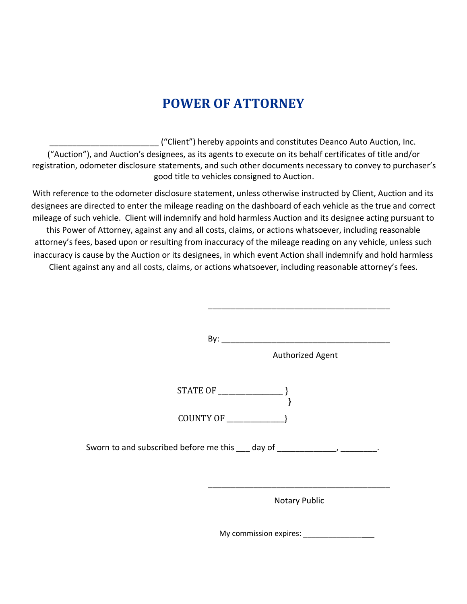## **POWER OF ATTORNEY**

\_\_\_\_\_\_\_\_\_\_\_\_\_\_\_\_\_\_\_\_\_\_\_\_ ("Client") hereby appoints and constitutes Deanco Auto Auction, Inc. ("Auction"), and Auction's designees, as its agents to execute on its behalf certificates of title and/or registration, odometer disclosure statements, and such other documents necessary to convey to purchaser's good title to vehicles consigned to Auction.

With reference to the odometer disclosure statement, unless otherwise instructed by Client, Auction and its designees are directed to enter the mileage reading on the dashboard of each vehicle as the true and correct mileage of such vehicle. Client will indemnify and hold harmless Auction and its designee acting pursuant to this Power of Attorney, against any and all costs, claims, or actions whatsoever, including reasonable attorney's fees, based upon or resulting from inaccuracy of the mileage reading on any vehicle, unless such inaccuracy is cause by the Auction or its designees, in which event Action shall indemnify and hold harmless Client against any and all costs, claims, or actions whatsoever, including reasonable attorney's fees.

> By: \_\_\_\_\_\_\_\_\_\_\_\_\_\_\_\_\_\_\_\_\_\_\_\_\_\_\_\_\_\_\_\_\_\_\_\_\_ Authorized Agent STATE OF \_\_\_\_\_\_\_\_\_\_\_\_\_\_\_\_\_\_\_ } **}**  COUNTY OF  $\qquad \qquad \}$ Sworn to and subscribed before me this 100 day of 100 minus 100 minus 200 minus 200 minus 200 minus 300 minus \_\_\_\_\_\_\_\_\_\_\_\_\_\_\_\_\_\_\_\_\_\_\_\_\_\_\_\_\_\_\_\_\_\_\_\_\_\_\_\_ Notary Public

> > My commission expires: \_\_\_\_\_\_\_\_\_\_\_\_\_\_\_\_\_

\_\_\_\_\_\_\_\_\_\_\_\_\_\_\_\_\_\_\_\_\_\_\_\_\_\_\_\_\_\_\_\_\_\_\_\_\_\_\_\_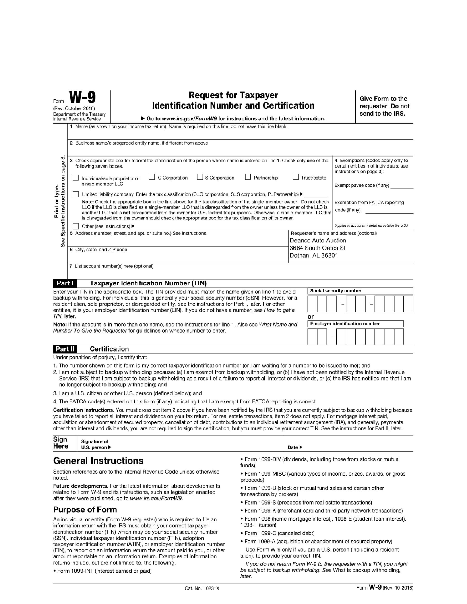| Form                                       | (Rev. October 2018)<br>Department of the Treasury<br>Internal Revenue Service                                                                                                                                                                                                                                                                                                                                                | <b>Request for Taxpayer</b><br><b>Identification Number and Certification</b><br>Go to www.irs.gov/FormW9 for instructions and the latest information.                                                                                                                                                                                                                                                                                                                                                                                                                                                                |                                         |               | Give Form to the<br>requester. Do not<br>send to the IRS. |
|--------------------------------------------|------------------------------------------------------------------------------------------------------------------------------------------------------------------------------------------------------------------------------------------------------------------------------------------------------------------------------------------------------------------------------------------------------------------------------|-----------------------------------------------------------------------------------------------------------------------------------------------------------------------------------------------------------------------------------------------------------------------------------------------------------------------------------------------------------------------------------------------------------------------------------------------------------------------------------------------------------------------------------------------------------------------------------------------------------------------|-----------------------------------------|---------------|-----------------------------------------------------------|
|                                            |                                                                                                                                                                                                                                                                                                                                                                                                                              | 1 Name (as shown on your income tax return). Name is required on this line; do not leave this line blank.<br>2 Business name/disregarded entity name, if different from above                                                                                                                                                                                                                                                                                                                                                                                                                                         |                                         |               |                                                           |
| 3<br>page                                  | 3 Check appropriate box for federal tax classification of the person whose name is entered on line 1. Check only one of the<br>4 Exemptions (codes apply only to<br>certain entities, not individuals; see<br>following seven boxes.<br>instructions on page 3):<br>C Corporation<br>$\Box$ S Corporation<br>Trust/estate<br>Partnership<br>Individual/sole proprietor or<br>single-member LLC<br>Exempt payee code (if any) |                                                                                                                                                                                                                                                                                                                                                                                                                                                                                                                                                                                                                       |                                         |               |                                                           |
| Specific Instructions on<br>Print or type. |                                                                                                                                                                                                                                                                                                                                                                                                                              | Limited liability company. Enter the tax classification (C=C corporation, S=S corporation, P=Partnership) $\blacktriangleright$<br>Note: Check the appropriate box in the line above for the tax classification of the single-member owner. Do not check<br>LLC if the LLC is classified as a single-member LLC that is disregarded from the owner unless the owner of the LLC is<br>another LLC that is not disregarded from the owner for U.S. federal tax purposes. Otherwise, a single-member LLC that<br>is disregarded from the owner should check the appropriate box for the tax classification of its owner. |                                         | code (if any) | Exemption from FATCA reporting                            |
|                                            | Other (see instructions) ▶                                                                                                                                                                                                                                                                                                                                                                                                   | 5 Address (number, street, and apt. or suite no.) See instructions.                                                                                                                                                                                                                                                                                                                                                                                                                                                                                                                                                   | Requester's name and address (optional) |               | (Applies to accounts maintained outside the U.S.)         |
| See                                        | 7 List account number(s) here (optional)                                                                                                                                                                                                                                                                                                                                                                                     | Deanco Auto Auction<br>3664 South Oates St<br>6 City, state, and ZIP code<br>Dothan, AL 36301                                                                                                                                                                                                                                                                                                                                                                                                                                                                                                                         |                                         |               |                                                           |
|                                            |                                                                                                                                                                                                                                                                                                                                                                                                                              |                                                                                                                                                                                                                                                                                                                                                                                                                                                                                                                                                                                                                       |                                         |               |                                                           |

#### Part I **Taxpayer Identification Number (TIN)**

| Enter your TIN in the appropriate box. The TIN provided must match the name given on line 1 to avoid      |
|-----------------------------------------------------------------------------------------------------------|
| backup withholding. For individuals, this is generally your social security number (SSN). However, for a  |
| resident alien, sole proprietor, or disregarded entity, see the instructions for Part I, later. For other |
| entities, it is your employer identification number (EIN). If you do not have a number, see How to get a  |
| TIN, later.                                                                                               |

| <b>Employer identification number</b> |  |
|---------------------------------------|--|

Note: If the account is in more than one name, see the instructions for line 1. Also see What Name and Number To Give the Requester for guidelines on whose number to enter.

#### Part II **Certification**

Under penalties of perjury, I certify that:

1. The number shown on this form is my correct taxpayer identification number (or I am waiting for a number to be issued to me); and

- 2. I am not subject to backup withholding because: (a) I am exempt from backup withholding, or (b) I have not been notified by the Internal Revenue Service (IRS) that I am subject to backup withholding as a result of a failure to report all interest or dividends, or (c) the IRS has notified me that I am no longer subject to backup withholding; and
- 3. I am a U.S. citizen or other U.S. person (defined below); and

4. The FATCA code(s) entered on this form (if any) indicating that I am exempt from FATCA reporting is correct.

Certification instructions. You must cross out item 2 above if you have been notified by the IRS that you are currently subject to backup withholding because you have failed to report all interest and dividends on your tax return. For real estate transactions, item 2 does not apply. For mortgage interest paid, acquisition or abandonment of secured property, cancellation of debt, contributions to an individual retirement arrangement (IRA), and generally, payments other than interest and dividends, you are not required to sign the certification, but you must provide your correct TIN. See the instructions for Part II, later.

| Signature of<br>U.S. person $\blacktriangleright$ |
|---------------------------------------------------|
|                                                   |

### **General Instructions**

Section references are to the Internal Revenue Code unless otherwise noted.

Future developments. For the latest information about developments related to Form W-9 and its instructions, such as legislation enacted after they were published, go to www.irs.gov/FormW9.

#### **Purpose of Form**

An individual or entity (Form W-9 requester) who is required to file an information return with the IRS must obtain your correct taxpayer identification number (TIN) which may be your social security number (SSN), individual taxpayer identification number (ITIN), adoption taxpayer identification number (ATIN), or employer identification number (EIN), to report on an information return the amount paid to you, or other amount reportable on an information return. Examples of information returns include, but are not limited to, the following.

· Form 1099-INT (interest earned or paid)

. Form 1099-DIV (dividends, including those from stocks or mutual funds)

- · Form 1099-MISC (various types of income, prizes, awards, or gross proceeds)
- . Form 1099-B (stock or mutual fund sales and certain other transactions by brokers)
- . Form 1099-S (proceeds from real estate transactions)
- . Form 1099-K (merchant card and third party network transactions)
- · Form 1098 (home mortgage interest), 1098-E (student loan interest), 1098-T (tuition)
- · Form 1099-C (canceled debt)

. Form 1099-A (acquisition or abandonment of secured property) Use Form W-9 only if you are a U.S. person (including a resident alien), to provide your correct TIN.

If you do not return Form W-9 to the requester with a TIN, you might be subject to backup withholding. See What is backup withholding, later.

Date  $\blacktriangleright$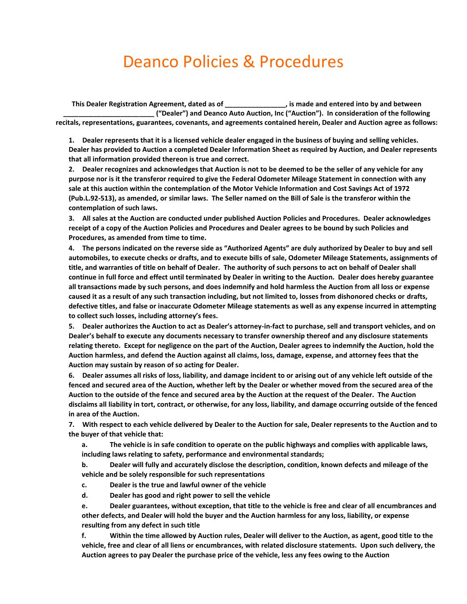## Deanco Policies & Procedures

**This Dealer Registration Agreement, dated as of \_\_\_\_\_\_\_\_\_\_\_\_\_\_\_\_, is made and entered into by and between \_\_\_\_\_\_\_\_\_\_\_\_\_\_\_\_\_\_\_\_\_\_\_\_ ("Dealer") and Deanco Auto Auction, Inc ("Auction"). In consideration of the following recitals, representations, guarantees, covenants, and agreements contained herein, Dealer and Auction agree as follows:**

**1. Dealer represents that it is a licensed vehicle dealer engaged in the business of buying and selling vehicles. Dealer has provided to Auction a completed Dealer Information Sheet as required by Auction, and Dealer represents that all information provided thereon is true and correct.** 

**2. Dealer recognizes and acknowledges that Auction is not to be deemed to be the seller of any vehicle for any purpose nor is it the transferor required to give the Federal Odometer Mileage Statement in connection with any sale at this auction within the contemplation of the Motor Vehicle Information and Cost Savings Act of 1972 (Pub.L.92-513), as amended, or similar laws. The Seller named on the Bill of Sale is the transferor within the contemplation of such laws.** 

**3. All sales at the Auction are conducted under published Auction Policies and Procedures. Dealer acknowledges receipt of a copy of the Auction Policies and Procedures and Dealer agrees to be bound by such Policies and Procedures, as amended from time to time.** 

**4. The persons indicated on the reverse side as "Authorized Agents" are duly authorized by Dealer to buy and sell automobiles, to execute checks or drafts, and to execute bills of sale, Odometer Mileage Statements, assignments of title, and warranties of title on behalf of Dealer. The authority of such persons to act on behalf of Dealer shall continue in full force and effect until terminated by Dealer in writing to the Auction. Dealer does hereby guarantee all transactions made by such persons, and does indemnify and hold harmless the Auction from all loss or expense caused it as a result of any such transaction including, but not limited to, losses from dishonored checks or drafts, defective titles, and false or inaccurate Odometer Mileage statements as well as any expense incurred in attempting to collect such losses, including attorney's fees.** 

**5. Dealer authorizes the Auction to act as Dealer's attorney-in-fact to purchase, sell and transport vehicles, and on Dealer's behalf to execute any documents necessary to transfer ownership thereof and any disclosure statements relating thereto. Except for negligence on the part of the Auction, Dealer agrees to indemnify the Auction, hold the Auction harmless, and defend the Auction against all claims, loss, damage, expense, and attorney fees that the Auction may sustain by reason of so acting for Dealer.** 

**6. Dealer assumes all risks of loss, liability, and damage incident to or arising out of any vehicle left outside of the fenced and secured area of the Auction, whether left by the Dealer or whether moved from the secured area of the Auction to the outside of the fence and secured area by the Auction at the request of the Dealer. The Auction disclaims all liability in tort, contract, or otherwise, for any loss, liability, and damage occurring outside of the fenced in area of the Auction.** 

**7. With respect to each vehicle delivered by Dealer to the Auction for sale, Dealer represents to the Auction and to the buyer of that vehicle that:** 

**a. The vehicle is in safe condition to operate on the public highways and complies with applicable laws, including laws relating to safety, performance and environmental standards;** 

**b. Dealer will fully and accurately disclose the description, condition, known defects and mileage of the vehicle and be solely responsible for such representations** 

**c. Dealer is the true and lawful owner of the vehicle** 

**d. Dealer has good and right power to sell the vehicle** 

**e. Dealer guarantees, without exception, that title to the vehicle is free and clear of all encumbrances and other defects, and Dealer will hold the buyer and the Auction harmless for any loss, liability, or expense resulting from any defect in such title** 

**f. Within the time allowed by Auction rules, Dealer will deliver to the Auction, as agent, good title to the vehicle, free and clear of all liens or encumbrances, with related disclosure statements. Upon such delivery, the Auction agrees to pay Dealer the purchase price of the vehicle, less any fees owing to the Auction**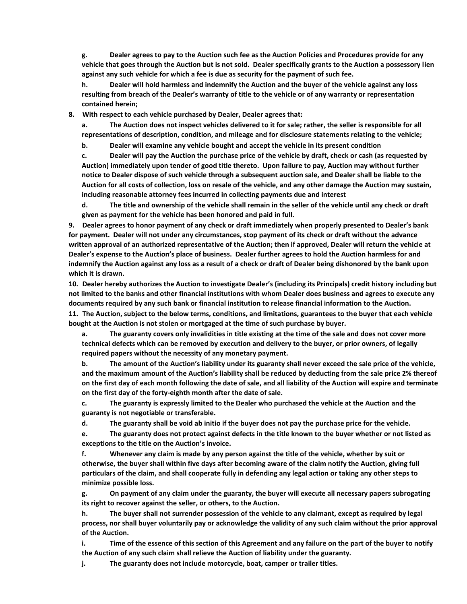**g. Dealer agrees to pay to the Auction such fee as the Auction Policies and Procedures provide for any vehicle that goes through the Auction but is not sold. Dealer specifically grants to the Auction a possessory lien against any such vehicle for which a fee is due as security for the payment of such fee.** 

**h. Dealer will hold harmless and indemnify the Auction and the buyer of the vehicle against any loss resulting from breach of the Dealer's warranty of title to the vehicle or of any warranty or representation contained herein;** 

**8. With respect to each vehicle purchased by Dealer, Dealer agrees that:** 

**a. The Auction does not inspect vehicles delivered to it for sale; rather, the seller is responsible for all representations of description, condition, and mileage and for disclosure statements relating to the vehicle;** 

**b. Dealer will examine any vehicle bought and accept the vehicle in its present condition** 

**c. Dealer will pay the Auction the purchase price of the vehicle by draft, check or cash (as requested by Auction) immediately upon tender of good title thereto. Upon failure to pay, Auction may without further notice to Dealer dispose of such vehicle through a subsequent auction sale, and Dealer shall be liable to the Auction for all costs of collection, loss on resale of the vehicle, and any other damage the Auction may sustain, including reasonable attorney fees incurred in collecting payments due and interest** 

**d. The title and ownership of the vehicle shall remain in the seller of the vehicle until any check or draft given as payment for the vehicle has been honored and paid in full.** 

**9. Dealer agrees to honor payment of any check or draft immediately when properly presented to Dealer's bank for payment. Dealer will not under any circumstances, stop payment of its check or draft without the advance written approval of an authorized representative of the Auction; then if approved, Dealer will return the vehicle at Dealer's expense to the Auction's place of business. Dealer further agrees to hold the Auction harmless for and indemnify the Auction against any loss as a result of a check or draft of Dealer being dishonored by the bank upon which it is drawn.** 

**10. Dealer hereby authorizes the Auction to investigate Dealer's (including its Principals) credit history including but not limited to the banks and other financial institutions with whom Dealer does business and agrees to execute any documents required by any such bank or financial institution to release financial information to the Auction.** 

**11. The Auction, subject to the below terms, conditions, and limitations, guarantees to the buyer that each vehicle bought at the Auction is not stolen or mortgaged at the time of such purchase by buyer.** 

**a. The guaranty covers only invalidities in title existing at the time of the sale and does not cover more technical defects which can be removed by execution and delivery to the buyer, or prior owners, of legally required papers without the necessity of any monetary payment.** 

**b. The amount of the Auction's liability under its guaranty shall never exceed the sale price of the vehicle, and the maximum amount of the Auction's liability shall be reduced by deducting from the sale price 2% thereof on the first day of each month following the date of sale, and all liability of the Auction will expire and terminate on the first day of the forty-eighth month after the date of sale.** 

**c. The guaranty is expressly limited to the Dealer who purchased the vehicle at the Auction and the guaranty is not negotiable or transferable.** 

**d. The guaranty shall be void ab initio if the buyer does not pay the purchase price for the vehicle.** 

**e. The guaranty does not protect against defects in the title known to the buyer whether or not listed as exceptions to the title on the Auction's invoice.** 

**f. Whenever any claim is made by any person against the title of the vehicle, whether by suit or otherwise, the buyer shall within five days after becoming aware of the claim notify the Auction, giving full particulars of the claim, and shall cooperate fully in defending any legal action or taking any other steps to minimize possible loss.** 

**g. On payment of any claim under the guaranty, the buyer will execute all necessary papers subrogating its right to recover against the seller, or others, to the Auction.** 

**h. The buyer shall not surrender possession of the vehicle to any claimant, except as required by legal process, nor shall buyer voluntarily pay or acknowledge the validity of any such claim without the prior approval of the Auction.** 

**i. Time of the essence of this section of this Agreement and any failure on the part of the buyer to notify the Auction of any such claim shall relieve the Auction of liability under the guaranty.** 

**j. The guaranty does not include motorcycle, boat, camper or trailer titles.**